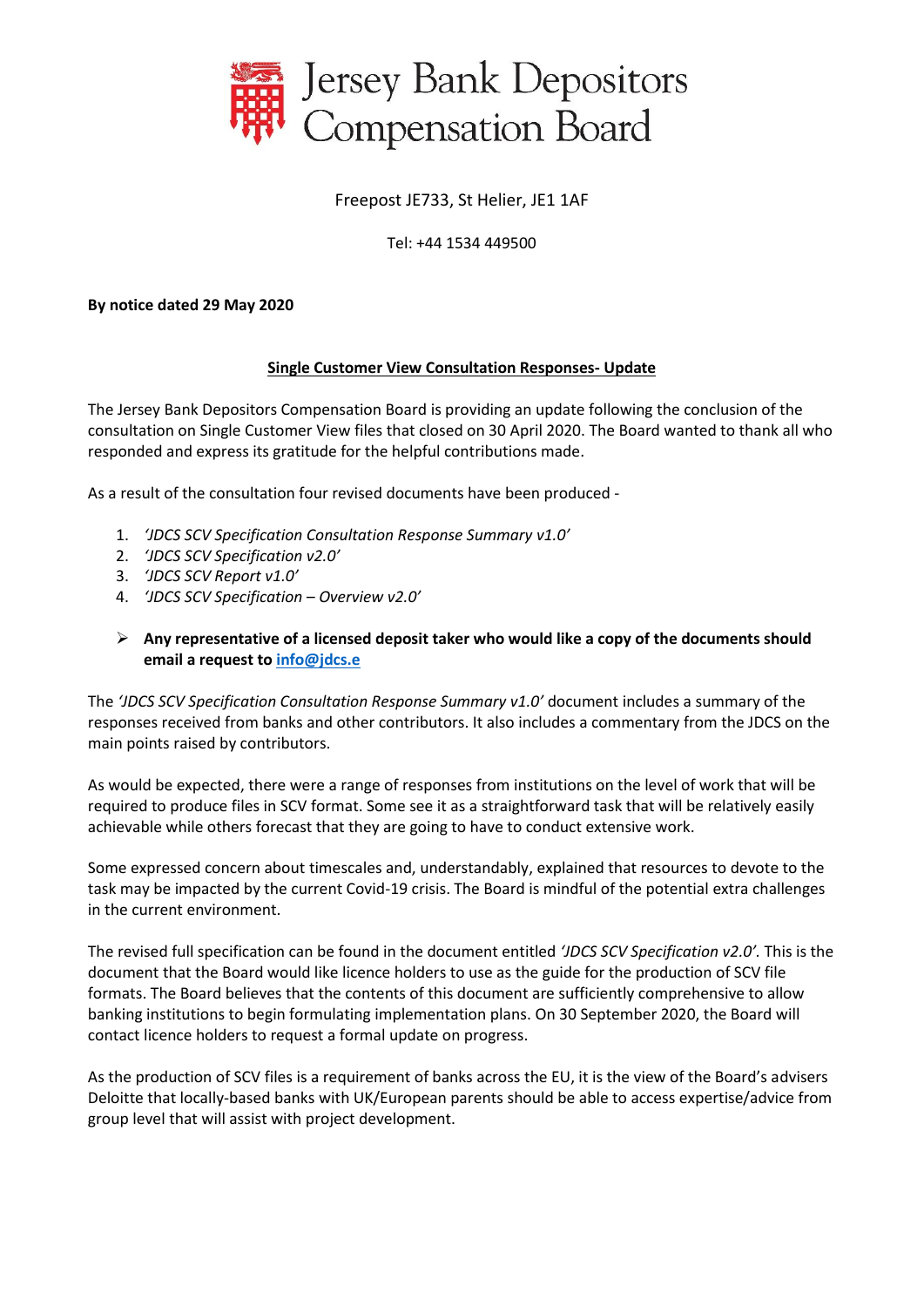

# Freepost JE733, St Helier, JE1 1AF

#### Tel: +44 1534 449500

#### **By notice dated 29 May 2020**

#### **Single Customer View Consultation Responses- Update**

The Jersey Bank Depositors Compensation Board is providing an update following the conclusion of the consultation on Single Customer View files that closed on 30 April 2020. The Board wanted to thank all who responded and express its gratitude for the helpful contributions made.

As a result of the consultation four revised documents have been produced -

- 1. *'JDCS SCV Specification Consultation Response Summary v1.0'*
- 2. *'JDCS SCV Specification v2.0'*
- 3. *'JDCS SCV Report v1.0'*
- 4. *'JDCS SCV Specification – Overview v2.0'*
- ➢ **Any representative of a licensed deposit taker who would like a copy of the documents should email a request to [info@jdcs.e](mailto:info@jdcs.e)**

The *'JDCS SCV Specification Consultation Response Summary v1.0'* document includes a summary of the responses received from banks and other contributors. It also includes a commentary from the JDCS on the main points raised by contributors.

As would be expected, there were a range of responses from institutions on the level of work that will be required to produce files in SCV format. Some see it as a straightforward task that will be relatively easily achievable while others forecast that they are going to have to conduct extensive work.

Some expressed concern about timescales and, understandably, explained that resources to devote to the task may be impacted by the current Covid-19 crisis. The Board is mindful of the potential extra challenges in the current environment.

The revised full specification can be found in the document entitled *'JDCS SCV Specification v2.0'.* This is the document that the Board would like licence holders to use as the guide for the production of SCV file formats. The Board believes that the contents of this document are sufficiently comprehensive to allow banking institutions to begin formulating implementation plans. On 30 September 2020, the Board will contact licence holders to request a formal update on progress.

As the production of SCV files is a requirement of banks across the EU, it is the view of the Board's advisers Deloitte that locally-based banks with UK/European parents should be able to access expertise/advice from group level that will assist with project development.